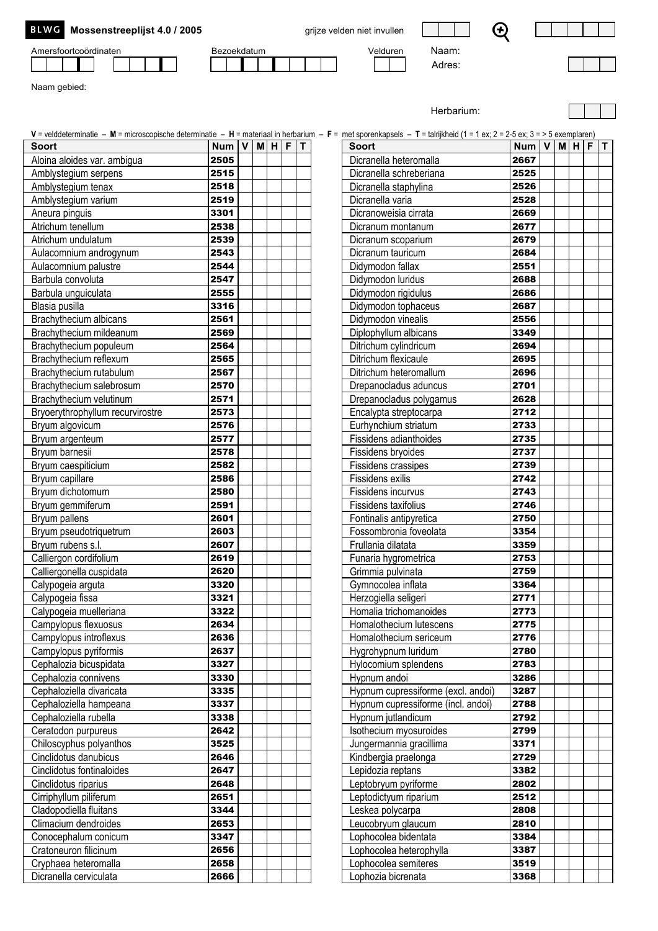| BLWG Mossenstreeplijst 4.0 / 2005 |  |  |  |  |
|-----------------------------------|--|--|--|--|
|-----------------------------------|--|--|--|--|

Amersfoortcoördinaten Bezoekdatum Bezoekdatum Velduren Naam:

grijze velden niet invullen

$$
\mathbf{C} \in \mathbb{R}^n
$$

Adres:

Herbarium:



Naam gebied:

| V = velddeterminatie - M = microscopische determinatie - H = materiaal in herbarium - F = met sporenkapsels - T = talrijkheid (1 = 1 ex; 2 = 2-5 ex; 3 = > 5 exemplaren)<br><b>Soort</b> | Num V        | M H | F | $\mathsf{T}$ | <b>Soort</b> |                                                   | Num $\overline{V}$ | M | H F | l T |
|------------------------------------------------------------------------------------------------------------------------------------------------------------------------------------------|--------------|-----|---|--------------|--------------|---------------------------------------------------|--------------------|---|-----|-----|
| Aloina aloides var. ambigua                                                                                                                                                              | 2505         |     |   |              |              | Dicranella heteromalla                            | 2667               |   |     |     |
| Amblystegium serpens                                                                                                                                                                     | 2515         |     |   |              |              | Dicranella schreberiana                           | 2525               |   |     |     |
| Amblystegium tenax                                                                                                                                                                       | 2518         |     |   |              |              | Dicranella staphylina                             | 2526               |   |     |     |
| Amblystegium varium                                                                                                                                                                      | 2519         |     |   |              |              | Dicranella varia                                  | 2528               |   |     |     |
| Aneura pinguis                                                                                                                                                                           | 3301         |     |   |              |              | Dicranoweisia cirrata                             | 2669               |   |     |     |
| Atrichum tenellum                                                                                                                                                                        | 2538         |     |   |              |              | Dicranum montanum                                 | 2677               |   |     |     |
| Atrichum undulatum                                                                                                                                                                       | 2539         |     |   |              |              | Dicranum scoparium                                | 2679               |   |     |     |
| Aulacomnium androgynum                                                                                                                                                                   | 2543         |     |   |              |              | Dicranum tauricum                                 | 2684               |   |     |     |
| Aulacomnium palustre                                                                                                                                                                     | 2544         |     |   |              |              | Didymodon fallax                                  | 2551               |   |     |     |
| Barbula convoluta                                                                                                                                                                        | 2547         |     |   |              |              | Didymodon luridus                                 | 2688               |   |     |     |
| Barbula unguiculata                                                                                                                                                                      | 2555         |     |   |              |              | Didymodon rigidulus                               | 2686               |   |     |     |
| Blasia pusilla                                                                                                                                                                           | 3316         |     |   |              |              | Didymodon tophaceus                               | 2687               |   |     |     |
| Brachythecium albicans                                                                                                                                                                   | 2561         |     |   |              |              | Didymodon vinealis                                | 2556               |   |     |     |
| Brachythecium mildeanum                                                                                                                                                                  | 2569         |     |   |              |              | Diplophyllum albicans                             | 3349               |   |     |     |
| Brachythecium populeum                                                                                                                                                                   | 2564         |     |   |              |              | Ditrichum cylindricum                             | 2694               |   |     |     |
| Brachythecium reflexum                                                                                                                                                                   | 2565         |     |   |              |              | Ditrichum flexicaule                              | 2695               |   |     |     |
| Brachythecium rutabulum                                                                                                                                                                  | 2567         |     |   |              |              | Ditrichum heteromallum                            | 2696               |   |     |     |
| Brachythecium salebrosum                                                                                                                                                                 | 2570         |     |   |              |              | Drepanocladus aduncus                             | 2701               |   |     |     |
| Brachythecium velutinum                                                                                                                                                                  | 2571         |     |   |              |              | Drepanocladus polygamus                           | 2628               |   |     |     |
| Bryoerythrophyllum recurvirostre                                                                                                                                                         | 2573         |     |   |              |              | Encalypta streptocarpa                            | 2712               |   |     |     |
| Bryum algovicum                                                                                                                                                                          | 2576         |     |   |              |              | Eurhynchium striatum                              | 2733               |   |     |     |
| Bryum argenteum                                                                                                                                                                          | 2577         |     |   |              |              | Fissidens adianthoides                            | 2735               |   |     |     |
| Bryum barnesii                                                                                                                                                                           | 2578         |     |   |              |              | Fissidens bryoides                                | 2737               |   |     |     |
| Bryum caespiticium                                                                                                                                                                       | 2582         |     |   |              |              | Fissidens crassipes                               | 2739               |   |     |     |
| Bryum capillare                                                                                                                                                                          | 2586         |     |   |              |              | Fissidens exilis                                  | 2742               |   |     |     |
| Bryum dichotomum                                                                                                                                                                         | 2580         |     |   |              |              | Fissidens incurvus                                | 2743               |   |     |     |
| Bryum gemmiferum                                                                                                                                                                         | 2591         |     |   |              |              | Fissidens taxifolius                              | 2746               |   |     |     |
| Bryum pallens                                                                                                                                                                            | 2601         |     |   |              |              | Fontinalis antipyretica                           | 2750               |   |     |     |
| Bryum pseudotriquetrum                                                                                                                                                                   | 2603         |     |   |              |              | Fossombronia foveolata                            | 3354               |   |     |     |
| Bryum rubens s.l.                                                                                                                                                                        | 2607         |     |   |              |              | Frullania dilatata                                | 3359               |   |     |     |
| Calliergon cordifolium                                                                                                                                                                   | 2619         |     |   |              |              | Funaria hygrometrica                              | 2753               |   |     |     |
| Calliergonella cuspidata                                                                                                                                                                 | 2620         |     |   |              |              | Grimmia pulvinata                                 | 2759               |   |     |     |
| Calypogeia arguta                                                                                                                                                                        | 3320         |     |   |              |              | Gymnocolea inflata                                | 3364               |   |     |     |
| Calypogeia fissa                                                                                                                                                                         | 3321         |     |   |              |              | Herzogiella seligeri                              | 2771               |   |     |     |
| Calypogeia muelleriana                                                                                                                                                                   | 3322         |     |   |              |              | Homalia trichomanoides                            | 2773               |   |     |     |
| Campylopus flexuosus                                                                                                                                                                     | 2634         |     |   |              |              | Homalothecium lutescens                           | 2775               |   |     |     |
| Campylopus introflexus                                                                                                                                                                   | 2636         |     |   |              |              | Homalothecium sericeum                            | 2776               |   |     |     |
| Campylopus pyriformis                                                                                                                                                                    | 2637         |     |   |              |              | Hygrohypnum luridum                               | 2780               |   |     |     |
| Cephalozia bicuspidata                                                                                                                                                                   | 3327         |     |   |              |              | Hylocomium splendens                              | 2783               |   |     |     |
| Cephalozia connivens                                                                                                                                                                     | 3330         |     |   |              |              | Hypnum andoi                                      | 3286               |   |     |     |
| Cephaloziella divaricata                                                                                                                                                                 | 3335         |     |   |              |              | Hypnum cupressiforme (excl. andoi)                | 3287               |   |     |     |
| Cephaloziella hampeana<br>Cephaloziella rubella                                                                                                                                          | 3337         |     |   |              |              | Hypnum cupressiforme (incl. andoi)                | 2788<br>2792       |   |     |     |
|                                                                                                                                                                                          | 3338<br>2642 |     |   |              |              | Hypnum jutlandicum                                | 2799               |   |     |     |
| Ceratodon purpureus<br>Chiloscyphus polyanthos                                                                                                                                           |              |     |   |              |              | Isothecium myosuroides<br>Jungermannia gracillima | 3371               |   |     |     |
| Cinclidotus danubicus                                                                                                                                                                    | 3525<br>2646 |     |   |              |              | Kindbergia praelonga                              | 2729               |   |     |     |
| Cinclidotus fontinaloides                                                                                                                                                                | 2647         |     |   |              |              |                                                   | 3382               |   |     |     |
| Cinclidotus riparius                                                                                                                                                                     | 2648         |     |   |              |              | Lepidozia reptans<br>Leptobryum pyriforme         | 2802               |   |     |     |
| Cirriphyllum piliferum                                                                                                                                                                   | 2651         |     |   |              |              | Leptodictyum riparium                             | 2512               |   |     |     |
| Cladopodiella fluitans                                                                                                                                                                   | 3344         |     |   |              |              | Leskea polycarpa                                  | 2808               |   |     |     |
| Climacium dendroides                                                                                                                                                                     | 2653         |     |   |              |              | Leucobryum glaucum                                | 2810               |   |     |     |
| Conocephalum conicum                                                                                                                                                                     | 3347         |     |   |              |              | Lophocolea bidentata                              | 3384               |   |     |     |
| Cratoneuron filicinum                                                                                                                                                                    | 2656         |     |   |              |              | Lophocolea heterophylla                           | 3387               |   |     |     |
| Cryphaea heteromalla                                                                                                                                                                     | 2658         |     |   |              |              | Lophocolea semiteres                              | 3519               |   |     |     |
| Dicranella cerviculata                                                                                                                                                                   | 2666         |     |   |              |              | Lophozia bicrenata                                | 3368               |   |     |     |
|                                                                                                                                                                                          |              |     |   |              |              |                                                   |                    |   |     |     |